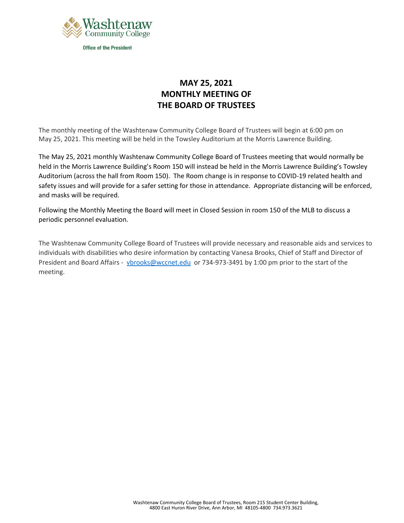

## **MAY 25, 2021 MONTHLY MEETING OF THE BOARD OF TRUSTEES**

The monthly meeting of the Washtenaw Community College Board of Trustees will begin at 6:00 pm on May 25, 2021. This meeting will be held in the Towsley Auditorium at the Morris Lawrence Building.

The May 25, 2021 monthly Washtenaw Community College Board of Trustees meeting that would normally be held in the Morris Lawrence Building's Room 150 will instead be held in the Morris Lawrence Building's Towsley Auditorium (across the hall from Room 150). The Room change is in response to COVID-19 related health and safety issues and will provide for a safer setting for those in attendance. Appropriate distancing will be enforced, and masks will be required.

Following the Monthly Meeting the Board will meet in Closed Session in room 150 of the MLB to discuss a periodic personnel evaluation.

The Washtenaw Community College Board of Trustees will provide necessary and reasonable aids and services to individuals with disabilities who desire information by contacting Vanesa Brooks, Chief of Staff and Director of President and Board Affairs - [vbrooks@wccnet.edu](mailto:vbrooks@wccnet.edu) or 734-973-3491 by 1:00 pm prior to the start of the meeting.